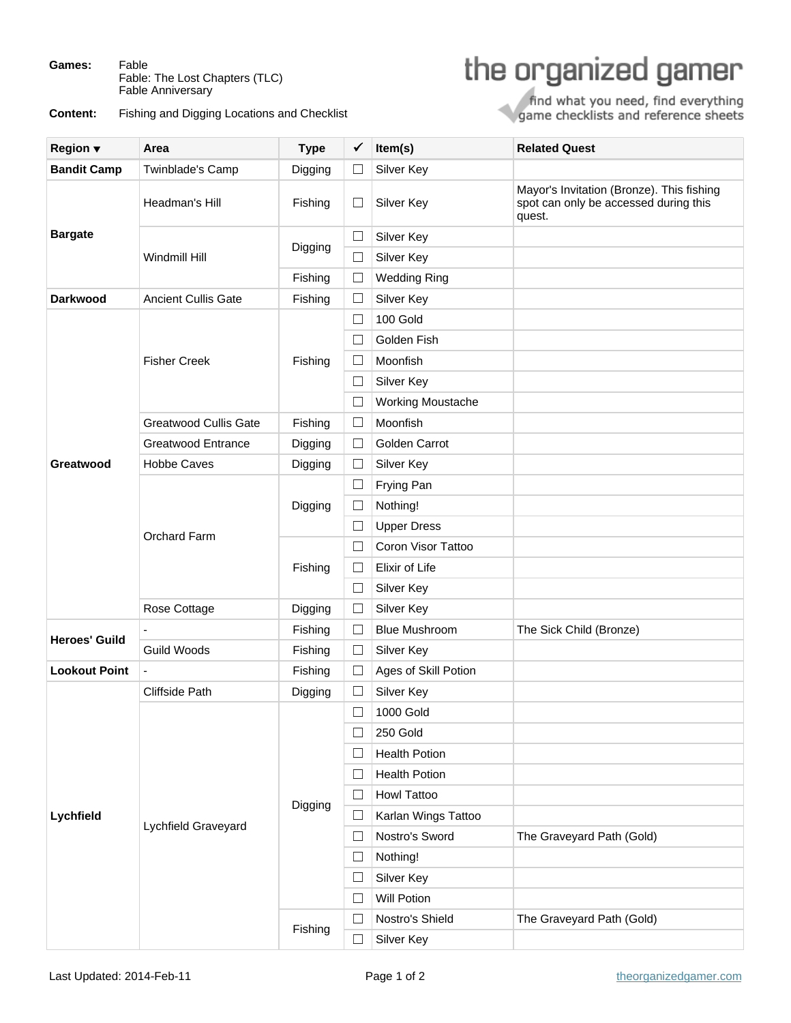**Games:** Fable Fable: The Lost Chapters (TLC) Fable Anniversary

**Content:** Fishing and Digging Locations and Checklist

## the organized gamer

find what you need, find everything<br>game checklists and reference sheets

| <b>Region</b> ▼      | Area                         | <b>Type</b> | ✔        | Item(s)                  | <b>Related Quest</b>                                                                         |
|----------------------|------------------------------|-------------|----------|--------------------------|----------------------------------------------------------------------------------------------|
| <b>Bandit Camp</b>   | Twinblade's Camp             | Digging     | $\Box$   | Silver Key               |                                                                                              |
| <b>Bargate</b>       | Headman's Hill               | Fishing     | $\Box$   | Silver Key               | Mayor's Invitation (Bronze). This fishing<br>spot can only be accessed during this<br>quest. |
|                      | Windmill Hill                | Digging     | ⊔        | Silver Key               |                                                                                              |
|                      |                              |             | $\Box$   | Silver Key               |                                                                                              |
|                      |                              | Fishing     | $\Box$   | <b>Wedding Ring</b>      |                                                                                              |
| <b>Darkwood</b>      | <b>Ancient Cullis Gate</b>   | Fishing     | Ш        | Silver Key               |                                                                                              |
| Greatwood            | <b>Fisher Creek</b>          | Fishing     | $\Box$   | 100 Gold                 |                                                                                              |
|                      |                              |             | $\Box$   | Golden Fish              |                                                                                              |
|                      |                              |             | $\Box$   | Moonfish                 |                                                                                              |
|                      |                              |             | ⊔        | Silver Key               |                                                                                              |
|                      |                              |             | $\Box$   | <b>Working Moustache</b> |                                                                                              |
|                      | <b>Greatwood Cullis Gate</b> | Fishing     | $\Box$   | Moonfish                 |                                                                                              |
|                      | Greatwood Entrance           | Digging     | ⊔        | Golden Carrot            |                                                                                              |
|                      | <b>Hobbe Caves</b>           | Digging     | □        | Silver Key               |                                                                                              |
|                      | Orchard Farm                 | Digging     | $\Box$   | Frying Pan               |                                                                                              |
|                      |                              |             | Ш        | Nothing!                 |                                                                                              |
|                      |                              |             | $\Box$   | <b>Upper Dress</b>       |                                                                                              |
|                      |                              | Fishing     | $\Box$   | Coron Visor Tattoo       |                                                                                              |
|                      |                              |             | $\Box$   | Elixir of Life           |                                                                                              |
|                      |                              |             | $\Box$   | Silver Key               |                                                                                              |
|                      | Rose Cottage                 | Digging     | $\Box$   | Silver Key               |                                                                                              |
| <b>Heroes' Guild</b> |                              | Fishing     | ⊔        | <b>Blue Mushroom</b>     | The Sick Child (Bronze)                                                                      |
|                      | <b>Guild Woods</b>           | Fishing     | □        | Silver Key               |                                                                                              |
| <b>Lookout Point</b> | $\blacksquare$               | Fishing     | $\Box$   | Ages of Skill Potion     |                                                                                              |
| Lychfield            | Cliffside Path               | Digging     | $\sqcup$ | Silver Key               |                                                                                              |
|                      | Lychfield Graveyard          | Digging     | $\Box$   | <b>1000 Gold</b>         |                                                                                              |
|                      |                              |             | $\Box$   | 250 Gold                 |                                                                                              |
|                      |                              |             | $\Box$   | <b>Health Potion</b>     |                                                                                              |
|                      |                              |             | ⊔        | <b>Health Potion</b>     |                                                                                              |
|                      |                              |             | $\Box$   | Howl Tattoo              |                                                                                              |
|                      |                              |             | Ш        | Karlan Wings Tattoo      |                                                                                              |
|                      |                              |             | Ш        | Nostro's Sword           | The Graveyard Path (Gold)                                                                    |
|                      |                              |             | $\Box$   | Nothing!                 |                                                                                              |
|                      |                              |             | ⊔        | Silver Key               |                                                                                              |
|                      |                              |             | Ш        | <b>Will Potion</b>       |                                                                                              |
|                      |                              | Fishing     | $\Box$   | Nostro's Shield          | The Graveyard Path (Gold)                                                                    |
|                      |                              |             | $\Box$   | Silver Key               |                                                                                              |